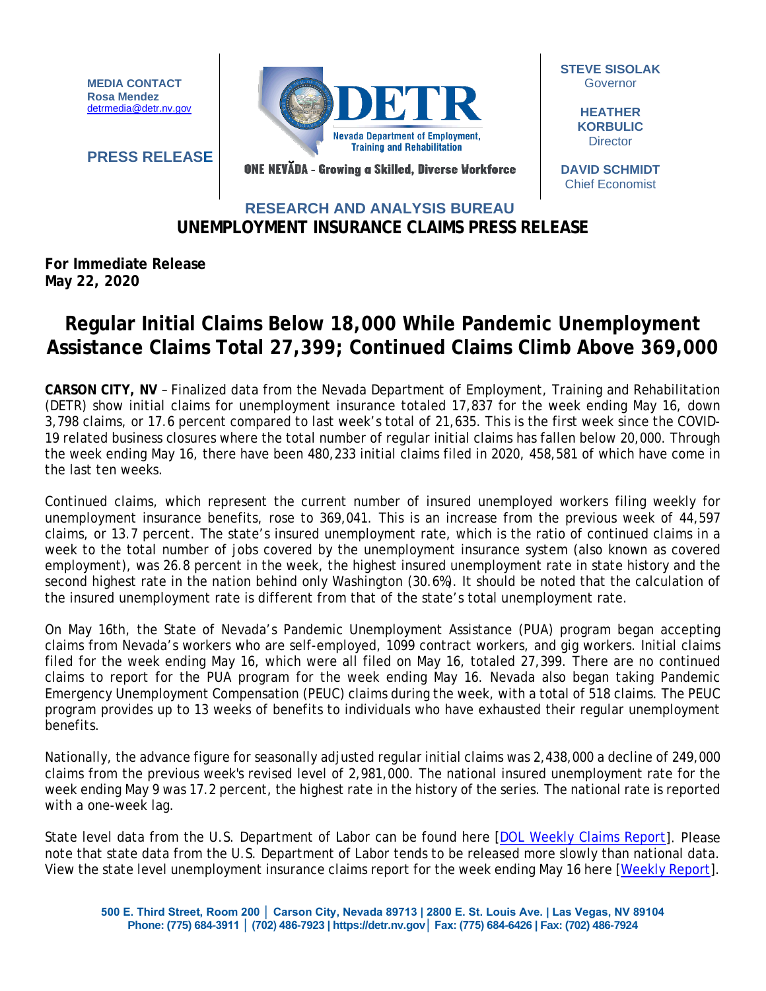**MEDIA CONTACT Rosa Mendez** [detrmedia@detr.nv.gov](mailto:detrmedia@detr.nv.gov)

**PRESS RELEASE**



**STEVE SISOLAK** Governor

> **HEATHER KORBULIC Director**

ONE NEVĂDA - Growing a Skilled, Diverse Workforce

## **DAVID SCHMIDT** Chief Economist

## **UNEMPLOYMENT INSURANCE CLAIMS PRESS RELEASE RESEARCH AND ANALYSIS BUREAU**

**For Immediate Release May 22, 2020**

## **Regular Initial Claims Below 18,000 While Pandemic Unemployment Assistance Claims Total 27,399; Continued Claims Climb Above 369,000**

**CARSON CITY, NV** – Finalized data from the Nevada Department of Employment, Training and Rehabilitation (DETR) show initial claims for unemployment insurance totaled 17,837 for the week ending May 16, down 3,798 claims, or 17.6 percent compared to last week's total of 21,635. This is the first week since the COVID-19 related business closures where the total number of regular initial claims has fallen below 20,000. Through the week ending May 16, there have been 480,233 initial claims filed in 2020, 458,581 of which have come in the last ten weeks.

Continued claims, which represent the current number of insured unemployed workers filing weekly for unemployment insurance benefits, rose to 369,041. This is an increase from the previous week of 44,597 claims, or 13.7 percent. The state's insured unemployment rate, which is the ratio of continued claims in a week to the total number of jobs covered by the unemployment insurance system (also known as covered employment), was 26.8 percent in the week, the highest insured unemployment rate in state history and the second highest rate in the nation behind only Washington (30.6%). It should be noted that the calculation of the insured unemployment rate is different from that of the state's total unemployment rate.

On May 16th, the State of Nevada's Pandemic Unemployment Assistance (PUA) program began accepting claims from Nevada's workers who are self-employed, 1099 contract workers, and gig workers. Initial claims filed for the week ending May 16, which were all filed on May 16, totaled 27,399. There are no continued claims to report for the PUA program for the week ending May 16. Nevada also began taking Pandemic Emergency Unemployment Compensation (PEUC) claims during the week, with a total of 518 claims. The PEUC program provides up to 13 weeks of benefits to individuals who have exhausted their regular unemployment benefits.

Nationally, the advance figure for seasonally adjusted regular initial claims was 2,438,000 a decline of 249,000 claims from the previous week's revised level of 2,981,000. The national insured unemployment rate for the week ending May 9 was 17.2 percent, the highest rate in the history of the series. The national rate is reported with a one-week lag.

State level data from the U.S. Department of Labor can be found here [\[DOL Weekly Claims Report\]](https://oui.doleta.gov/unemploy/claims_arch.asp). Please note that state data from the U.S. Department of Labor tends to be released more slowly than national data. View the state level unemployment insurance claims report for the week ending May 16 here [\[Weekly Report\]](http://nvlmi.mt.gov/Portals/197/UI%20Monthly%20Claims%20Press%20Release/Dashboards/State%20of%20Nevada%20UI%20Weekly%20Filing%20Report.pdf).